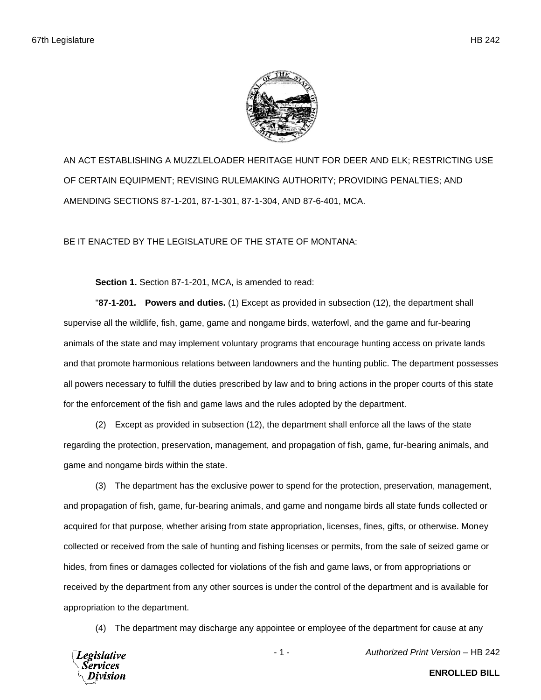

AN ACT ESTABLISHING A MUZZLELOADER HERITAGE HUNT FOR DEER AND ELK; RESTRICTING USE OF CERTAIN EQUIPMENT; REVISING RULEMAKING AUTHORITY; PROVIDING PENALTIES; AND AMENDING SECTIONS 87-1-201, 87-1-301, 87-1-304, AND 87-6-401, MCA.

BE IT ENACTED BY THE LEGISLATURE OF THE STATE OF MONTANA:

**Section 1.** Section 87-1-201, MCA, is amended to read:

"**87-1-201. Powers and duties.** (1) Except as provided in subsection (12), the department shall supervise all the wildlife, fish, game, game and nongame birds, waterfowl, and the game and fur-bearing animals of the state and may implement voluntary programs that encourage hunting access on private lands and that promote harmonious relations between landowners and the hunting public. The department possesses all powers necessary to fulfill the duties prescribed by law and to bring actions in the proper courts of this state for the enforcement of the fish and game laws and the rules adopted by the department.

(2) Except as provided in subsection (12), the department shall enforce all the laws of the state regarding the protection, preservation, management, and propagation of fish, game, fur-bearing animals, and game and nongame birds within the state.

(3) The department has the exclusive power to spend for the protection, preservation, management, and propagation of fish, game, fur-bearing animals, and game and nongame birds all state funds collected or acquired for that purpose, whether arising from state appropriation, licenses, fines, gifts, or otherwise. Money collected or received from the sale of hunting and fishing licenses or permits, from the sale of seized game or hides, from fines or damages collected for violations of the fish and game laws, or from appropriations or received by the department from any other sources is under the control of the department and is available for appropriation to the department.

(4) The department may discharge any appointee or employee of the department for cause at any



- 1 - *Authorized Print Version* – HB 242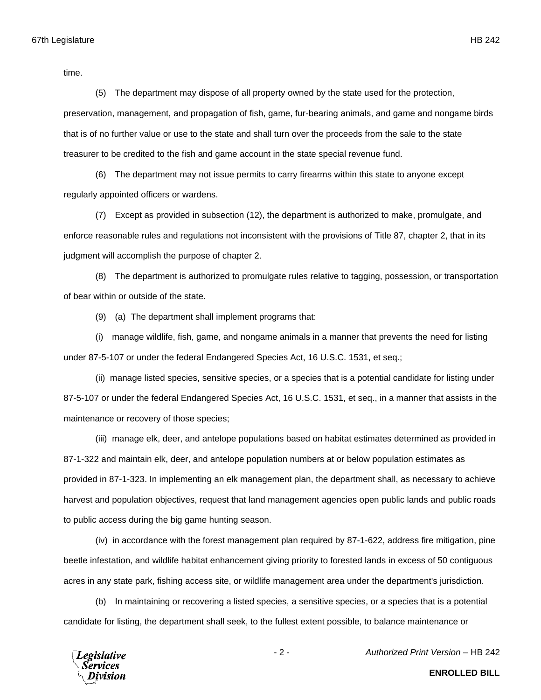time.

(5) The department may dispose of all property owned by the state used for the protection, preservation, management, and propagation of fish, game, fur-bearing animals, and game and nongame birds that is of no further value or use to the state and shall turn over the proceeds from the sale to the state treasurer to be credited to the fish and game account in the state special revenue fund.

(6) The department may not issue permits to carry firearms within this state to anyone except regularly appointed officers or wardens.

(7) Except as provided in subsection (12), the department is authorized to make, promulgate, and enforce reasonable rules and regulations not inconsistent with the provisions of Title 87, chapter 2, that in its judgment will accomplish the purpose of chapter 2.

(8) The department is authorized to promulgate rules relative to tagging, possession, or transportation of bear within or outside of the state.

(9) (a) The department shall implement programs that:

(i) manage wildlife, fish, game, and nongame animals in a manner that prevents the need for listing under 87-5-107 or under the federal Endangered Species Act, 16 U.S.C. 1531, et seq.;

(ii) manage listed species, sensitive species, or a species that is a potential candidate for listing under 87-5-107 or under the federal Endangered Species Act, 16 U.S.C. 1531, et seq., in a manner that assists in the maintenance or recovery of those species;

(iii) manage elk, deer, and antelope populations based on habitat estimates determined as provided in 87-1-322 and maintain elk, deer, and antelope population numbers at or below population estimates as provided in 87-1-323. In implementing an elk management plan, the department shall, as necessary to achieve harvest and population objectives, request that land management agencies open public lands and public roads to public access during the big game hunting season.

(iv) in accordance with the forest management plan required by 87-1-622, address fire mitigation, pine beetle infestation, and wildlife habitat enhancement giving priority to forested lands in excess of 50 contiguous acres in any state park, fishing access site, or wildlife management area under the department's jurisdiction.

(b) In maintaining or recovering a listed species, a sensitive species, or a species that is a potential candidate for listing, the department shall seek, to the fullest extent possible, to balance maintenance or

**Legislative** Services

- 2 - *Authorized Print Version* – HB 242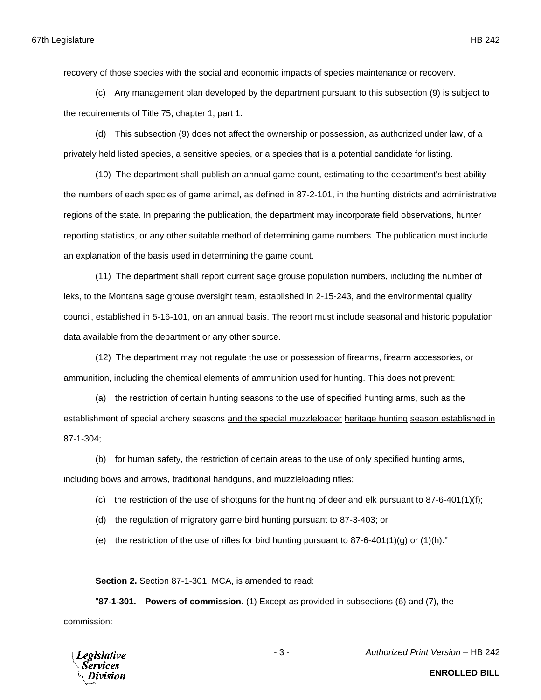recovery of those species with the social and economic impacts of species maintenance or recovery.

(c) Any management plan developed by the department pursuant to this subsection (9) is subject to the requirements of Title 75, chapter 1, part 1.

(d) This subsection (9) does not affect the ownership or possession, as authorized under law, of a privately held listed species, a sensitive species, or a species that is a potential candidate for listing.

(10) The department shall publish an annual game count, estimating to the department's best ability the numbers of each species of game animal, as defined in 87-2-101, in the hunting districts and administrative regions of the state. In preparing the publication, the department may incorporate field observations, hunter reporting statistics, or any other suitable method of determining game numbers. The publication must include an explanation of the basis used in determining the game count.

(11) The department shall report current sage grouse population numbers, including the number of leks, to the Montana sage grouse oversight team, established in 2-15-243, and the environmental quality council, established in 5-16-101, on an annual basis. The report must include seasonal and historic population data available from the department or any other source.

(12) The department may not regulate the use or possession of firearms, firearm accessories, or ammunition, including the chemical elements of ammunition used for hunting. This does not prevent:

(a) the restriction of certain hunting seasons to the use of specified hunting arms, such as the establishment of special archery seasons and the special muzzleloader heritage hunting season established in 87-1-304;

(b) for human safety, the restriction of certain areas to the use of only specified hunting arms,

including bows and arrows, traditional handguns, and muzzleloading rifles;

- (c) the restriction of the use of shotguns for the hunting of deer and elk pursuant to 87-6-401(1)(f);
- (d) the regulation of migratory game bird hunting pursuant to 87-3-403; or
- (e) the restriction of the use of rifles for bird hunting pursuant to  $87-6-401(1)(q)$  or  $(1)(h)$ ."

**Section 2.** Section 87-1-301, MCA, is amended to read:

"**87-1-301. Powers of commission.** (1) Except as provided in subsections (6) and (7), the commission:



- 3 - *Authorized Print Version* – HB 242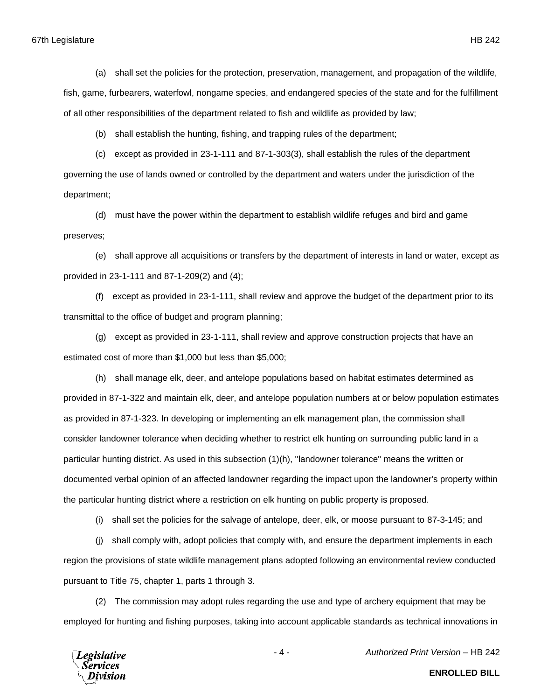#### 67th Legislature HB 242

(a) shall set the policies for the protection, preservation, management, and propagation of the wildlife, fish, game, furbearers, waterfowl, nongame species, and endangered species of the state and for the fulfillment of all other responsibilities of the department related to fish and wildlife as provided by law;

(b) shall establish the hunting, fishing, and trapping rules of the department;

(c) except as provided in 23-1-111 and 87-1-303(3), shall establish the rules of the department governing the use of lands owned or controlled by the department and waters under the jurisdiction of the department;

(d) must have the power within the department to establish wildlife refuges and bird and game preserves;

(e) shall approve all acquisitions or transfers by the department of interests in land or water, except as provided in 23-1-111 and 87-1-209(2) and (4);

(f) except as provided in 23-1-111, shall review and approve the budget of the department prior to its transmittal to the office of budget and program planning;

(g) except as provided in 23-1-111, shall review and approve construction projects that have an estimated cost of more than \$1,000 but less than \$5,000;

(h) shall manage elk, deer, and antelope populations based on habitat estimates determined as provided in 87-1-322 and maintain elk, deer, and antelope population numbers at or below population estimates as provided in 87-1-323. In developing or implementing an elk management plan, the commission shall consider landowner tolerance when deciding whether to restrict elk hunting on surrounding public land in a particular hunting district. As used in this subsection (1)(h), "landowner tolerance" means the written or documented verbal opinion of an affected landowner regarding the impact upon the landowner's property within the particular hunting district where a restriction on elk hunting on public property is proposed.

(i) shall set the policies for the salvage of antelope, deer, elk, or moose pursuant to 87-3-145; and

(j) shall comply with, adopt policies that comply with, and ensure the department implements in each region the provisions of state wildlife management plans adopted following an environmental review conducted pursuant to Title 75, chapter 1, parts 1 through 3.

(2) The commission may adopt rules regarding the use and type of archery equipment that may be employed for hunting and fishing purposes, taking into account applicable standards as technical innovations in

**Legislative** Services

**ENROLLED BILL**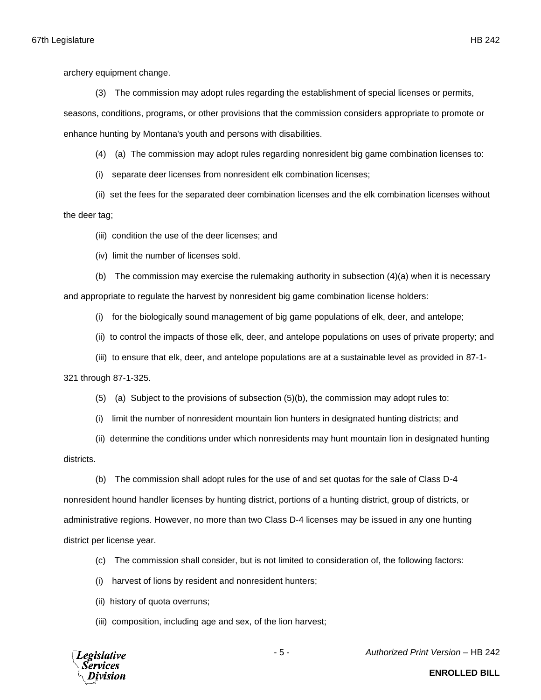archery equipment change.

(3) The commission may adopt rules regarding the establishment of special licenses or permits,

seasons, conditions, programs, or other provisions that the commission considers appropriate to promote or enhance hunting by Montana's youth and persons with disabilities.

(4) (a) The commission may adopt rules regarding nonresident big game combination licenses to:

(i) separate deer licenses from nonresident elk combination licenses;

(ii) set the fees for the separated deer combination licenses and the elk combination licenses without

the deer tag;

(iii) condition the use of the deer licenses; and

(iv) limit the number of licenses sold.

(b) The commission may exercise the rulemaking authority in subsection (4)(a) when it is necessary and appropriate to regulate the harvest by nonresident big game combination license holders:

(i) for the biologically sound management of big game populations of elk, deer, and antelope;

- (ii) to control the impacts of those elk, deer, and antelope populations on uses of private property; and
- (iii) to ensure that elk, deer, and antelope populations are at a sustainable level as provided in 87-1-

#### 321 through 87-1-325.

- (5) (a) Subject to the provisions of subsection (5)(b), the commission may adopt rules to:
- (i) limit the number of nonresident mountain lion hunters in designated hunting districts; and
- (ii) determine the conditions under which nonresidents may hunt mountain lion in designated hunting

### districts.

(b) The commission shall adopt rules for the use of and set quotas for the sale of Class D-4 nonresident hound handler licenses by hunting district, portions of a hunting district, group of districts, or administrative regions. However, no more than two Class D-4 licenses may be issued in any one hunting district per license year.

- (c) The commission shall consider, but is not limited to consideration of, the following factors:
- (i) harvest of lions by resident and nonresident hunters;
- (ii) history of quota overruns;
- (iii) composition, including age and sex, of the lion harvest;



- 5 - *Authorized Print Version* – HB 242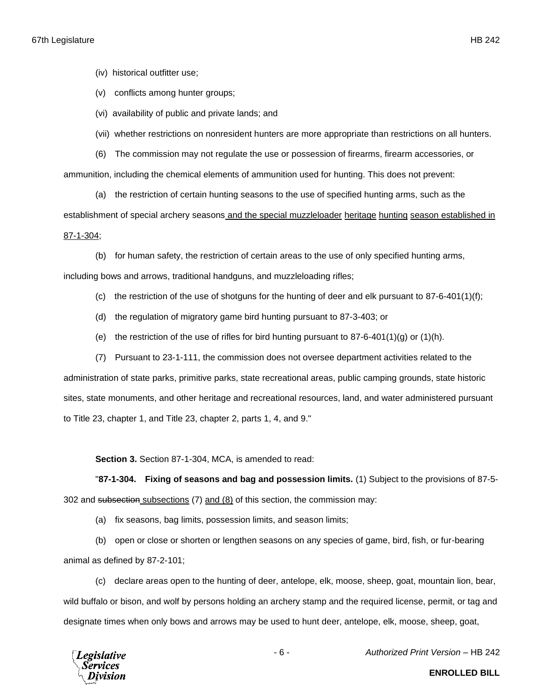(iv) historical outfitter use;

(v) conflicts among hunter groups;

(vi) availability of public and private lands; and

(vii) whether restrictions on nonresident hunters are more appropriate than restrictions on all hunters.

(6) The commission may not regulate the use or possession of firearms, firearm accessories, or ammunition, including the chemical elements of ammunition used for hunting. This does not prevent:

(a) the restriction of certain hunting seasons to the use of specified hunting arms, such as the establishment of special archery seasons and the special muzzleloader heritage hunting season established in 87-1-304;

(b) for human safety, the restriction of certain areas to the use of only specified hunting arms, including bows and arrows, traditional handguns, and muzzleloading rifles;

- (c) the restriction of the use of shotguns for the hunting of deer and elk pursuant to  $87-6-401(1)(f)$ ;
- (d) the regulation of migratory game bird hunting pursuant to 87-3-403; or
- (e) the restriction of the use of rifles for bird hunting pursuant to  $87-6-401(1)(q)$  or  $(1)(h)$ .
- (7) Pursuant to 23-1-111, the commission does not oversee department activities related to the administration of state parks, primitive parks, state recreational areas, public camping grounds, state historic sites, state monuments, and other heritage and recreational resources, land, and water administered pursuant to Title 23, chapter 1, and Title 23, chapter 2, parts 1, 4, and 9."

**Section 3.** Section 87-1-304, MCA, is amended to read:

"**87-1-304. Fixing of seasons and bag and possession limits.** (1) Subject to the provisions of 87-5- 302 and subsection subsections (7) and (8) of this section, the commission may:

(a) fix seasons, bag limits, possession limits, and season limits;

(b) open or close or shorten or lengthen seasons on any species of game, bird, fish, or fur-bearing animal as defined by 87-2-101;

(c) declare areas open to the hunting of deer, antelope, elk, moose, sheep, goat, mountain lion, bear, wild buffalo or bison, and wolf by persons holding an archery stamp and the required license, permit, or tag and designate times when only bows and arrows may be used to hunt deer, antelope, elk, moose, sheep, goat,



- 6 - *Authorized Print Version* – HB 242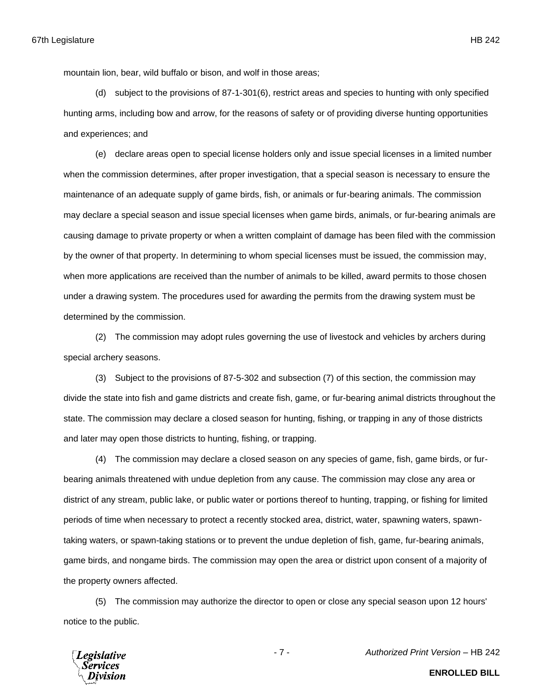mountain lion, bear, wild buffalo or bison, and wolf in those areas;

(d) subject to the provisions of 87-1-301(6), restrict areas and species to hunting with only specified hunting arms, including bow and arrow, for the reasons of safety or of providing diverse hunting opportunities and experiences; and

(e) declare areas open to special license holders only and issue special licenses in a limited number when the commission determines, after proper investigation, that a special season is necessary to ensure the maintenance of an adequate supply of game birds, fish, or animals or fur-bearing animals. The commission may declare a special season and issue special licenses when game birds, animals, or fur-bearing animals are causing damage to private property or when a written complaint of damage has been filed with the commission by the owner of that property. In determining to whom special licenses must be issued, the commission may, when more applications are received than the number of animals to be killed, award permits to those chosen under a drawing system. The procedures used for awarding the permits from the drawing system must be determined by the commission.

(2) The commission may adopt rules governing the use of livestock and vehicles by archers during special archery seasons.

(3) Subject to the provisions of 87-5-302 and subsection (7) of this section, the commission may divide the state into fish and game districts and create fish, game, or fur-bearing animal districts throughout the state. The commission may declare a closed season for hunting, fishing, or trapping in any of those districts and later may open those districts to hunting, fishing, or trapping.

(4) The commission may declare a closed season on any species of game, fish, game birds, or furbearing animals threatened with undue depletion from any cause. The commission may close any area or district of any stream, public lake, or public water or portions thereof to hunting, trapping, or fishing for limited periods of time when necessary to protect a recently stocked area, district, water, spawning waters, spawntaking waters, or spawn-taking stations or to prevent the undue depletion of fish, game, fur-bearing animals, game birds, and nongame birds. The commission may open the area or district upon consent of a majority of the property owners affected.

(5) The commission may authorize the director to open or close any special season upon 12 hours' notice to the public.



- 7 - *Authorized Print Version* – HB 242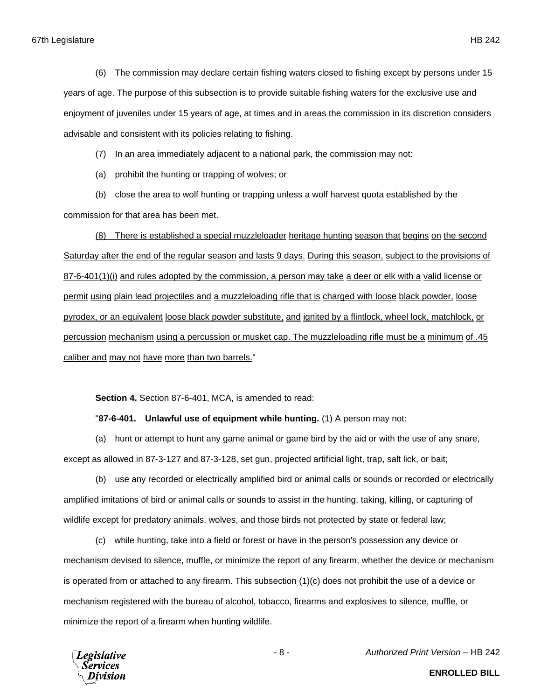(6) The commission may declare certain fishing waters closed to fishing except by persons under 15 years of age. The purpose of this subsection is to provide suitable fishing waters for the exclusive use and enjoyment of juveniles under 15 years of age, at times and in areas the commission in its discretion considers advisable and consistent with its policies relating to fishing.

(7) In an area immediately adjacent to a national park, the commission may not:

(a) prohibit the hunting or trapping of wolves; or

(b) close the area to wolf hunting or trapping unless a wolf harvest quota established by the commission for that area has been met.

(8) There is established a special muzzleloader heritage hunting season that begins on the second Saturday after the end of the regular season and lasts 9 days. During this season, subject to the provisions of 87-6-401(1)(i) and rules adopted by the commission, a person may take a deer or elk with a valid license or permit using plain lead projectiles and a muzzleloading rifle that is charged with loose black powder, loose pyrodex, or an equivalent loose black powder substitute, and ignited by a flintlock, wheel lock, matchlock, or percussion mechanism using a percussion or musket cap. The muzzleloading rifle must be a minimum of .45 caliber and may not have more than two barrels."

**Section 4.** Section 87-6-401, MCA, is amended to read:

"**87-6-401. Unlawful use of equipment while hunting.** (1) A person may not:

(a) hunt or attempt to hunt any game animal or game bird by the aid or with the use of any snare, except as allowed in 87-3-127 and 87-3-128, set gun, projected artificial light, trap, salt lick, or bait;

(b) use any recorded or electrically amplified bird or animal calls or sounds or recorded or electrically amplified imitations of bird or animal calls or sounds to assist in the hunting, taking, killing, or capturing of wildlife except for predatory animals, wolves, and those birds not protected by state or federal law;

(c) while hunting, take into a field or forest or have in the person's possession any device or mechanism devised to silence, muffle, or minimize the report of any firearm, whether the device or mechanism is operated from or attached to any firearm. This subsection (1)(c) does not prohibit the use of a device or mechanism registered with the bureau of alcohol, tobacco, firearms and explosives to silence, muffle, or minimize the report of a firearm when hunting wildlife.

**Legislative** Services

- 8 - *Authorized Print Version* – HB 242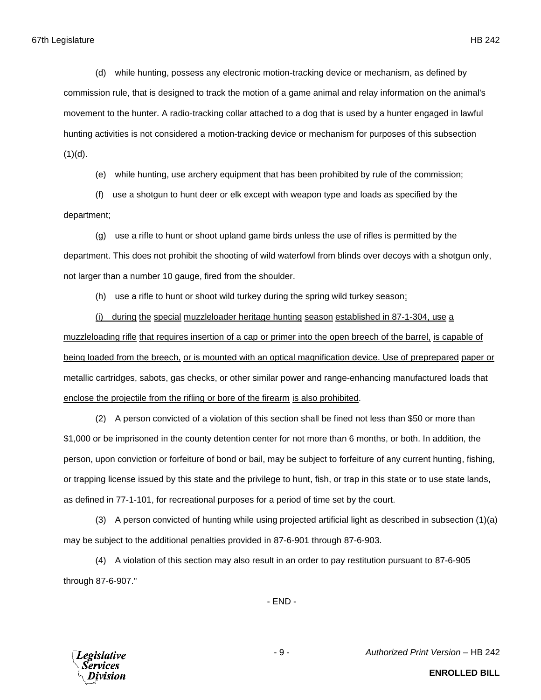(d) while hunting, possess any electronic motion-tracking device or mechanism, as defined by commission rule, that is designed to track the motion of a game animal and relay information on the animal's movement to the hunter. A radio-tracking collar attached to a dog that is used by a hunter engaged in lawful hunting activities is not considered a motion-tracking device or mechanism for purposes of this subsection  $(1)(d)$ .

(e) while hunting, use archery equipment that has been prohibited by rule of the commission;

(f) use a shotgun to hunt deer or elk except with weapon type and loads as specified by the department;

(g) use a rifle to hunt or shoot upland game birds unless the use of rifles is permitted by the department. This does not prohibit the shooting of wild waterfowl from blinds over decoys with a shotgun only, not larger than a number 10 gauge, fired from the shoulder.

(h) use a rifle to hunt or shoot wild turkey during the spring wild turkey season;

(i) during the special muzzleloader heritage hunting season established in 87-1-304, use a muzzleloading rifle that requires insertion of a cap or primer into the open breech of the barrel, is capable of being loaded from the breech, or is mounted with an optical magnification device. Use of preprepared paper or metallic cartridges, sabots, gas checks, or other similar power and range-enhancing manufactured loads that enclose the projectile from the rifling or bore of the firearm is also prohibited.

(2) A person convicted of a violation of this section shall be fined not less than \$50 or more than \$1,000 or be imprisoned in the county detention center for not more than 6 months, or both. In addition, the person, upon conviction or forfeiture of bond or bail, may be subject to forfeiture of any current hunting, fishing, or trapping license issued by this state and the privilege to hunt, fish, or trap in this state or to use state lands, as defined in 77-1-101, for recreational purposes for a period of time set by the court.

(3) A person convicted of hunting while using projected artificial light as described in subsection (1)(a) may be subject to the additional penalties provided in 87-6-901 through 87-6-903.

(4) A violation of this section may also result in an order to pay restitution pursuant to 87-6-905 through 87-6-907."

- END -



- 9 - *Authorized Print Version* – HB 242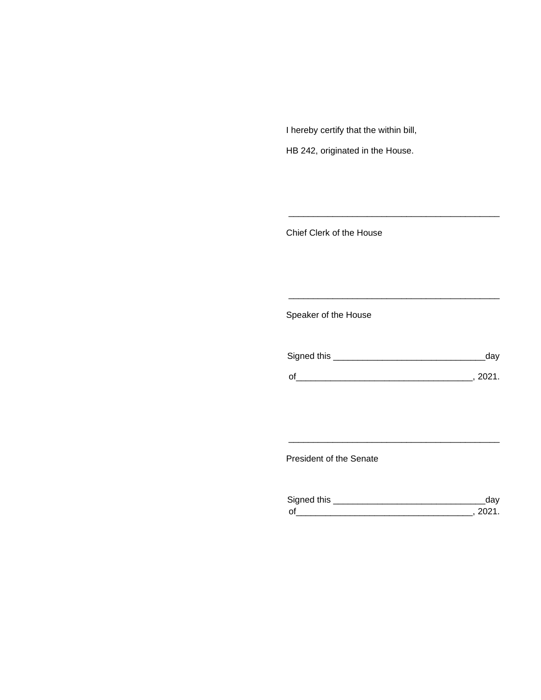I hereby certify that the within bill,

HB 242, originated in the House.

Chief Clerk of the House

Speaker of the House

| Signed this | dav    |
|-------------|--------|
| $\Omega$    | - 2021 |

\_\_\_\_\_\_\_\_\_\_\_\_\_\_\_\_\_\_\_\_\_\_\_\_\_\_\_\_\_\_\_\_\_\_\_\_\_\_\_\_\_\_\_

\_\_\_\_\_\_\_\_\_\_\_\_\_\_\_\_\_\_\_\_\_\_\_\_\_\_\_\_\_\_\_\_\_\_\_\_\_\_\_\_\_\_\_

President of the Senate

| Sianed this |  |
|-------------|--|
| $\Omega$    |  |

\_\_\_\_\_\_\_\_\_\_\_\_\_\_\_\_\_\_\_\_\_\_\_\_\_\_\_\_\_\_\_\_\_\_\_\_\_\_\_\_\_\_\_